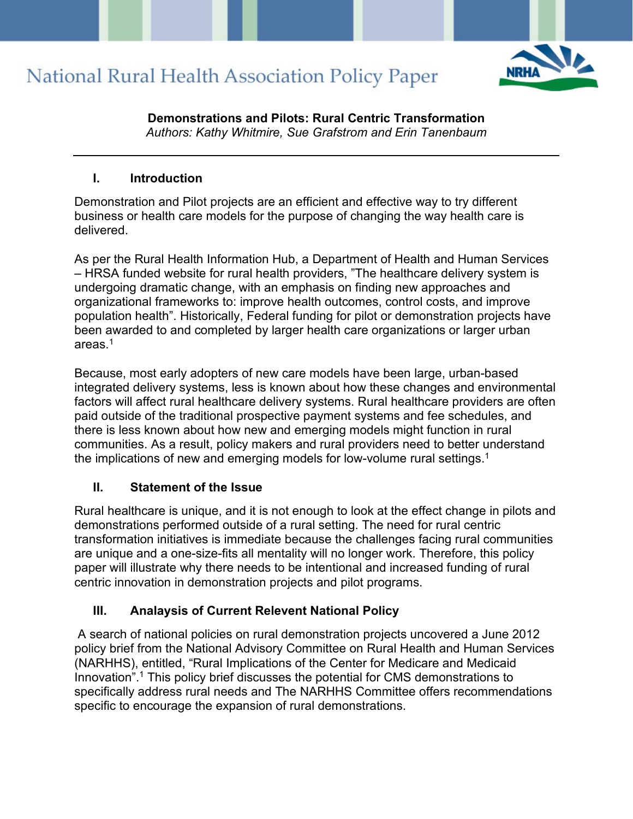

**Demonstrations and Pilots: Rural Centric Transformation** *Authors: Kathy Whitmire, Sue Grafstrom and Erin Tanenbaum*

#### **I. Introduction**

Demonstration and Pilot projects are an efficient and effective way to try different business or health care models for the purpose of changing the way health care is delivered.

As per the Rural Health Information Hub, a Department of Health and Human Services – HRSA funded website for rural health providers, "The healthcare delivery system is undergoing dramatic change, with an emphasis on finding new approaches and organizational frameworks to: improve health outcomes, control costs, and improve population health". Historically, Federal funding for pilot or demonstration projects have been awarded to and completed by larger health care organizations or larger urban areas $1$ 

Because, most early adopters of new care models have been large, urban-based integrated delivery systems, less is known about how these changes and environmental factors will affect rural healthcare delivery systems. Rural healthcare providers are often paid outside of the traditional prospective payment systems and fee schedules, and there is less known about how new and emerging models might function in rural communities. As a result, policy makers and rural providers need to better understand the implications of new and emerging models for low-volume rural settings.<sup>1</sup>

#### **II. Statement of the Issue**

Rural healthcare is unique, and it is not enough to look at the effect change in pilots and demonstrations performed outside of a rural setting. The need for rural centric transformation initiatives is immediate because the challenges facing rural communities are unique and a one-size-fits all mentality will no longer work. Therefore, this policy paper will illustrate why there needs to be intentional and increased funding of rural centric innovation in demonstration projects and pilot programs.

### **III. Analaysis of Current Relevent National Policy**

A search of national policies on rural demonstration projects uncovered a June 2012 policy brief from the National Advisory Committee on Rural Health and Human Services (NARHHS), entitled, "Rural Implications of the Center for Medicare and Medicaid Innovation".<sup>1</sup> This policy brief discusses the potential for CMS demonstrations to specifically address rural needs and The NARHHS Committee offers recommendations specific to encourage the expansion of rural demonstrations.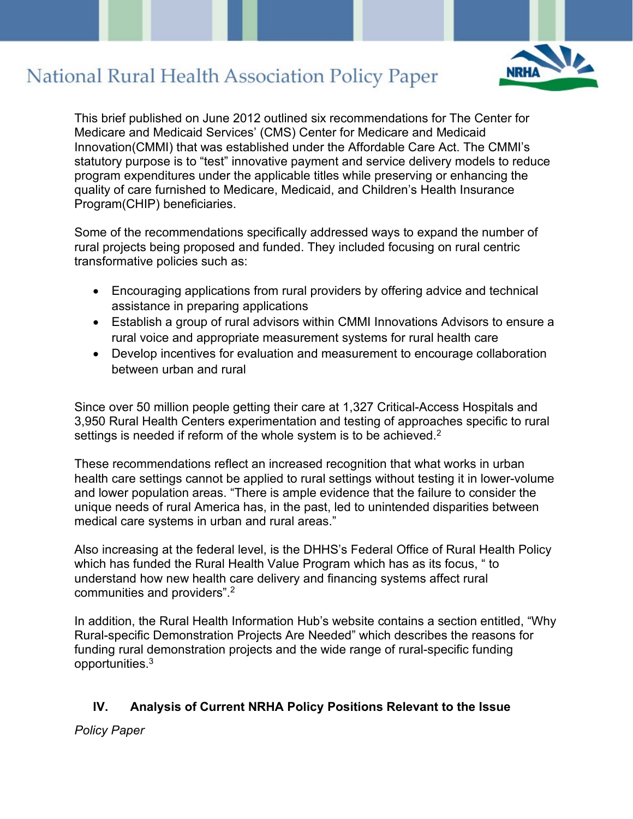

This brief published on June 2012 outlined six recommendations for The Center for Medicare and Medicaid Services' (CMS) Center for Medicare and Medicaid Innovation(CMMI) that was established under the Affordable Care Act. The CMMI's statutory purpose is to "test" innovative payment and service delivery models to reduce program expenditures under the applicable titles while preserving or enhancing the quality of care furnished to Medicare, Medicaid, and Children's Health Insurance Program(CHIP) beneficiaries.

Some of the recommendations specifically addressed ways to expand the number of rural projects being proposed and funded. They included focusing on rural centric transformative policies such as:

- Encouraging applications from rural providers by offering advice and technical assistance in preparing applications
- Establish a group of rural advisors within CMMI Innovations Advisors to ensure a rural voice and appropriate measurement systems for rural health care
- Develop incentives for evaluation and measurement to encourage collaboration between urban and rural

Since over 50 million people getting their care at 1,327 Critical-Access Hospitals and 3,950 Rural Health Centers experimentation and testing of approaches specific to rural settings is needed if reform of the whole system is to be achieved.<sup>2</sup>

These recommendations reflect an increased recognition that what works in urban health care settings cannot be applied to rural settings without testing it in lower-volume and lower population areas. "There is ample evidence that the failure to consider the unique needs of rural America has, in the past, led to unintended disparities between medical care systems in urban and rural areas."

Also increasing at the federal level, is the DHHS's Federal Office of Rural Health Policy which has funded the Rural Health Value Program which has as its focus, " to understand how new health care delivery and financing systems affect rural communities and providers".2

In addition, the Rural Health Information Hub's website contains a section entitled, "Why Rural-specific Demonstration Projects Are Needed" which describes the reasons for funding rural demonstration projects and the wide range of rural-specific funding opportunities.3

### **IV. Analysis of Current NRHA Policy Positions Relevant to the Issue**

*Policy Paper*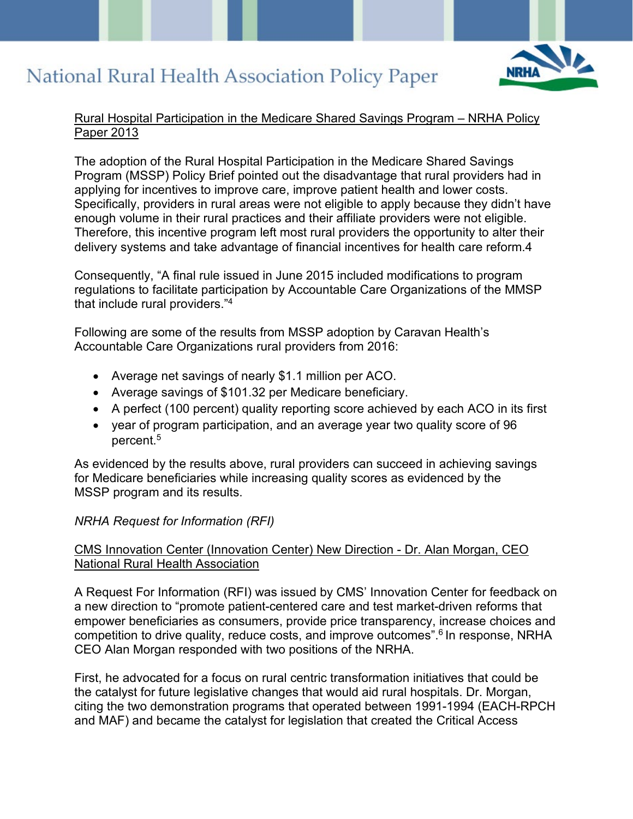

#### Rural Hospital Participation in the Medicare Shared Savings Program – NRHA Policy Paper 2013

The adoption of the Rural Hospital Participation in the Medicare Shared Savings Program (MSSP) Policy Brief pointed out the disadvantage that rural providers had in applying for incentives to improve care, improve patient health and lower costs. Specifically, providers in rural areas were not eligible to apply because they didn't have enough volume in their rural practices and their affiliate providers were not eligible. Therefore, this incentive program left most rural providers the opportunity to alter their delivery systems and take advantage of financial incentives for health care reform.4

Consequently, "A final rule issued in June 2015 included modifications to program regulations to facilitate participation by Accountable Care Organizations of the MMSP that include rural providers."4

Following are some of the results from MSSP adoption by Caravan Health's Accountable Care Organizations rural providers from 2016:

- Average net savings of nearly \$1.1 million per ACO.
- Average savings of \$101.32 per Medicare beneficiary.
- A perfect (100 percent) quality reporting score achieved by each ACO in its first
- year of program participation, and an average year two quality score of 96 percent.5

As evidenced by the results above, rural providers can succeed in achieving savings for Medicare beneficiaries while increasing quality scores as evidenced by the MSSP program and its results.

### *NRHA Request for Information (RFI)*

#### CMS Innovation Center (Innovation Center) New Direction - Dr. Alan Morgan, CEO National Rural Health Association

A Request For Information (RFI) was issued by CMS' Innovation Center for feedback on a new direction to "promote patient-centered care and test market-driven reforms that empower beneficiaries as consumers, provide price transparency, increase choices and competition to drive quality, reduce costs, and improve outcomes".6 In response, NRHA CEO Alan Morgan responded with two positions of the NRHA.

First, he advocated for a focus on rural centric transformation initiatives that could be the catalyst for future legislative changes that would aid rural hospitals. Dr. Morgan, citing the two demonstration programs that operated between 1991-1994 (EACH-RPCH and MAF) and became the catalyst for legislation that created the Critical Access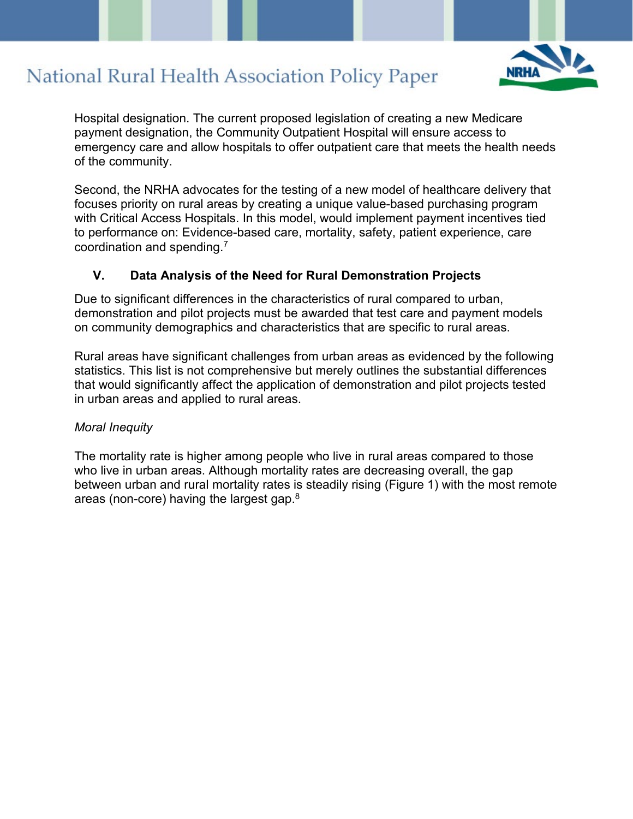

Hospital designation. The current proposed legislation of creating a new Medicare payment designation, the Community Outpatient Hospital will ensure access to emergency care and allow hospitals to offer outpatient care that meets the health needs of the community.

Second, the NRHA advocates for the testing of a new model of healthcare delivery that focuses priority on rural areas by creating a unique value-based purchasing program with Critical Access Hospitals. In this model, would implement payment incentives tied to performance on: Evidence-based care, mortality, safety, patient experience, care coordination and spending.7

#### **V. Data Analysis of the Need for Rural Demonstration Projects**

Due to significant differences in the characteristics of rural compared to urban, demonstration and pilot projects must be awarded that test care and payment models on community demographics and characteristics that are specific to rural areas.

Rural areas have significant challenges from urban areas as evidenced by the following statistics. This list is not comprehensive but merely outlines the substantial differences that would significantly affect the application of demonstration and pilot projects tested in urban areas and applied to rural areas.

#### *Moral Inequity*

The mortality rate is higher among people who live in rural areas compared to those who live in urban areas. Although mortality rates are decreasing overall, the gap between urban and rural mortality rates is steadily rising (Figure 1) with the most remote areas (non-core) having the largest gap.8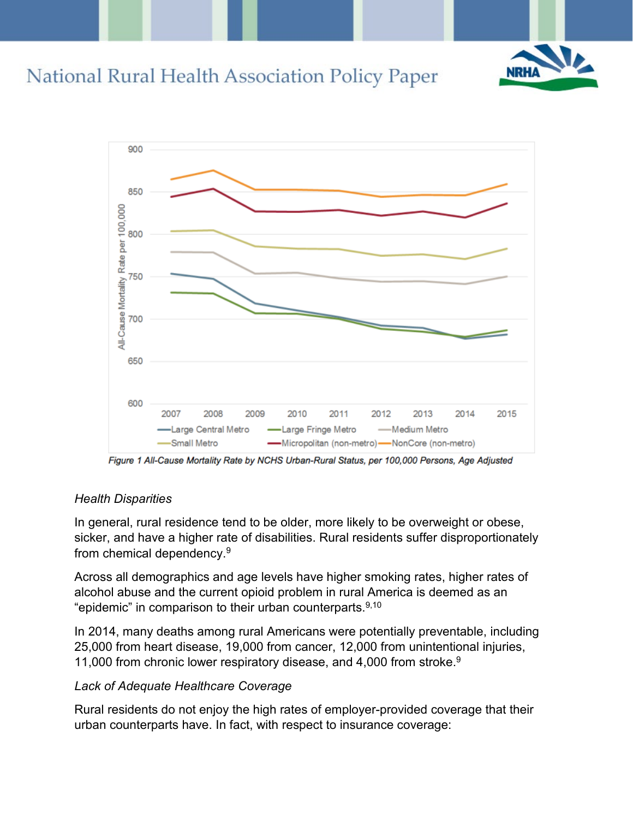



Figure 1 All-Cause Mortality Rate by NCHS Urban-Rural Status, per 100,000 Persons, Age Adjusted

#### *Health Disparities*

In general, rural residence tend to be older, more likely to be overweight or obese, sicker, and have a higher rate of disabilities. Rural residents suffer disproportionately from chemical dependency.9

Across all demographics and age levels have higher smoking rates, higher rates of alcohol abuse and the current opioid problem in rural America is deemed as an "epidemic" in comparison to their urban counterparts.<sup>9,10</sup>

In 2014, many deaths among rural Americans were potentially preventable, including 25,000 from heart disease, 19,000 from cancer, 12,000 from unintentional injuries, 11,000 from chronic lower respiratory disease, and 4,000 from stroke.<sup>9</sup>

#### *Lack of Adequate Healthcare Coverage*

Rural residents do not enjoy the high rates of employer-provided coverage that their urban counterparts have. In fact, with respect to insurance coverage: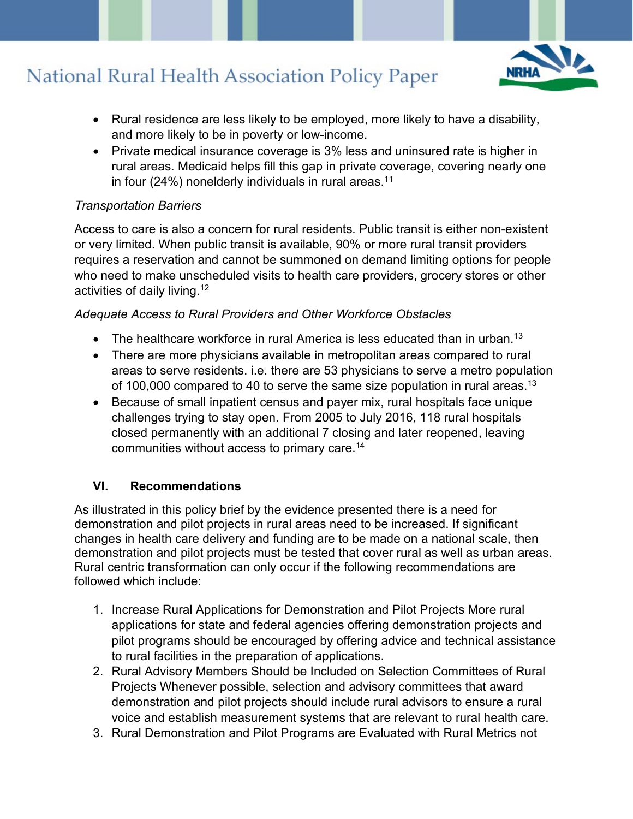

- Rural residence are less likely to be employed, more likely to have a disability, and more likely to be in poverty or low-income.
- Private medical insurance coverage is 3% less and uninsured rate is higher in rural areas. Medicaid helps fill this gap in private coverage, covering nearly one in four (24%) nonelderly individuals in rural areas.<sup>11</sup>

### *Transportation Barriers*

Access to care is also a concern for rural residents. Public transit is either non-existent or very limited. When public transit is available, 90% or more rural transit providers requires a reservation and cannot be summoned on demand limiting options for people who need to make unscheduled visits to health care providers, grocery stores or other activities of daily living.12

### *Adequate Access to Rural Providers and Other Workforce Obstacles*

- The healthcare workforce in rural America is less educated than in urban.<sup>13</sup>
- There are more physicians available in metropolitan areas compared to rural areas to serve residents. i.e. there are 53 physicians to serve a metro population of 100,000 compared to 40 to serve the same size population in rural areas.<sup>13</sup>
- Because of small inpatient census and payer mix, rural hospitals face unique challenges trying to stay open. From 2005 to July 2016, 118 rural hospitals closed permanently with an additional 7 closing and later reopened, leaving communities without access to primary care.14

### **VI. Recommendations**

As illustrated in this policy brief by the evidence presented there is a need for demonstration and pilot projects in rural areas need to be increased. If significant changes in health care delivery and funding are to be made on a national scale, then demonstration and pilot projects must be tested that cover rural as well as urban areas. Rural centric transformation can only occur if the following recommendations are followed which include:

- 1. Increase Rural Applications for Demonstration and Pilot Projects More rural applications for state and federal agencies offering demonstration projects and pilot programs should be encouraged by offering advice and technical assistance to rural facilities in the preparation of applications.
- 2. Rural Advisory Members Should be Included on Selection Committees of Rural Projects Whenever possible, selection and advisory committees that award demonstration and pilot projects should include rural advisors to ensure a rural voice and establish measurement systems that are relevant to rural health care.
- 3. Rural Demonstration and Pilot Programs are Evaluated with Rural Metrics not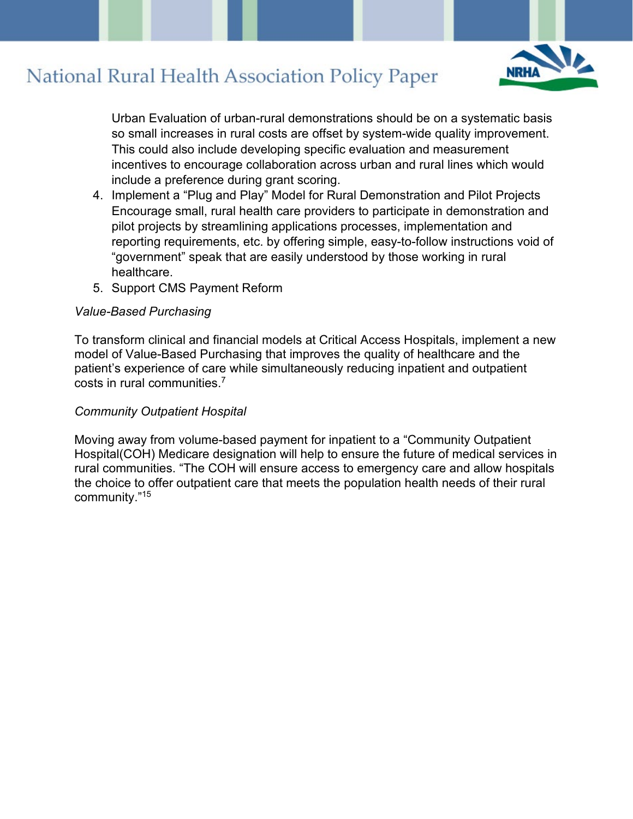

Urban Evaluation of urban-rural demonstrations should be on a systematic basis so small increases in rural costs are offset by system-wide quality improvement. This could also include developing specific evaluation and measurement incentives to encourage collaboration across urban and rural lines which would include a preference during grant scoring.

- 4. Implement a "Plug and Play" Model for Rural Demonstration and Pilot Projects Encourage small, rural health care providers to participate in demonstration and pilot projects by streamlining applications processes, implementation and reporting requirements, etc. by offering simple, easy-to-follow instructions void of "government" speak that are easily understood by those working in rural healthcare.
- 5. Support CMS Payment Reform

#### *Value-Based Purchasing*

To transform clinical and financial models at Critical Access Hospitals, implement a new model of Value-Based Purchasing that improves the quality of healthcare and the patient's experience of care while simultaneously reducing inpatient and outpatient costs in rural communities.7

#### *Community Outpatient Hospital*

Moving away from volume-based payment for inpatient to a "Community Outpatient Hospital(COH) Medicare designation will help to ensure the future of medical services in rural communities. "The COH will ensure access to emergency care and allow hospitals the choice to offer outpatient care that meets the population health needs of their rural community."15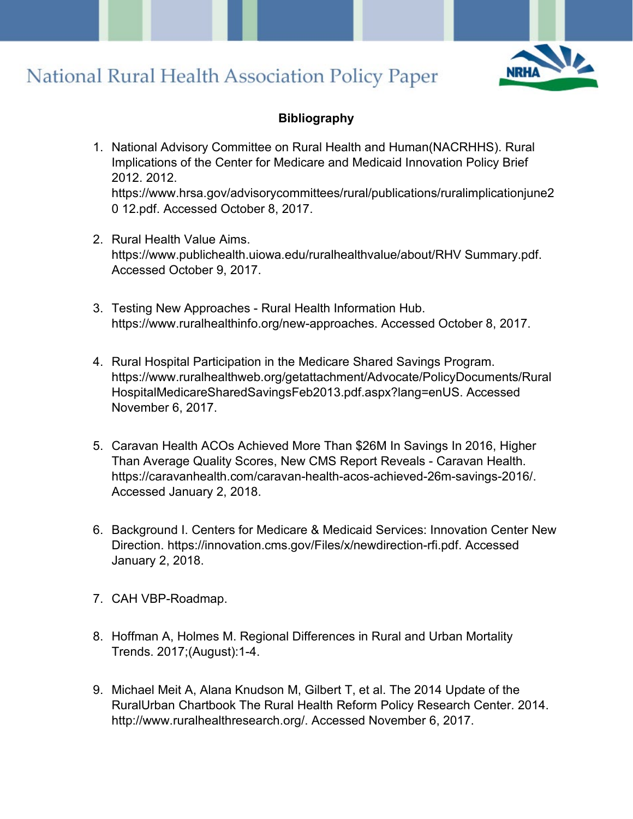

#### **Bibliography**

- 1. National Advisory Committee on Rural Health and Human(NACRHHS). Rural Implications of the Center for Medicare and Medicaid Innovation Policy Brief 2012. 2012. https://www.hrsa.gov/advisorycommittees/rural/publications/ruralimplicationjune2 0 12.pdf. Accessed October 8, 2017.
- 2. Rural Health Value Aims. https://www.publichealth.uiowa.edu/ruralhealthvalue/about/RHV Summary.pdf. Accessed October 9, 2017.
- 3. Testing New Approaches Rural Health Information Hub. https://www.ruralhealthinfo.org/new-approaches. Accessed October 8, 2017.
- 4. Rural Hospital Participation in the Medicare Shared Savings Program. https://www.ruralhealthweb.org/getattachment/Advocate/PolicyDocuments/Rural HospitalMedicareSharedSavingsFeb2013.pdf.aspx?lang=enUS. Accessed November 6, 2017.
- 5. Caravan Health ACOs Achieved More Than \$26M In Savings In 2016, Higher Than Average Quality Scores, New CMS Report Reveals - Caravan Health. https://caravanhealth.com/caravan-health-acos-achieved-26m-savings-2016/. Accessed January 2, 2018.
- 6. Background I. Centers for Medicare & Medicaid Services: Innovation Center New Direction. https://innovation.cms.gov/Files/x/newdirection-rfi.pdf. Accessed January 2, 2018.
- 7. CAH VBP-Roadmap.
- 8. Hoffman A, Holmes M. Regional Differences in Rural and Urban Mortality Trends. 2017;(August):1-4.
- 9. Michael Meit A, Alana Knudson M, Gilbert T, et al. The 2014 Update of the RuralUrban Chartbook The Rural Health Reform Policy Research Center. 2014. http://www.ruralhealthresearch.org/. Accessed November 6, 2017.